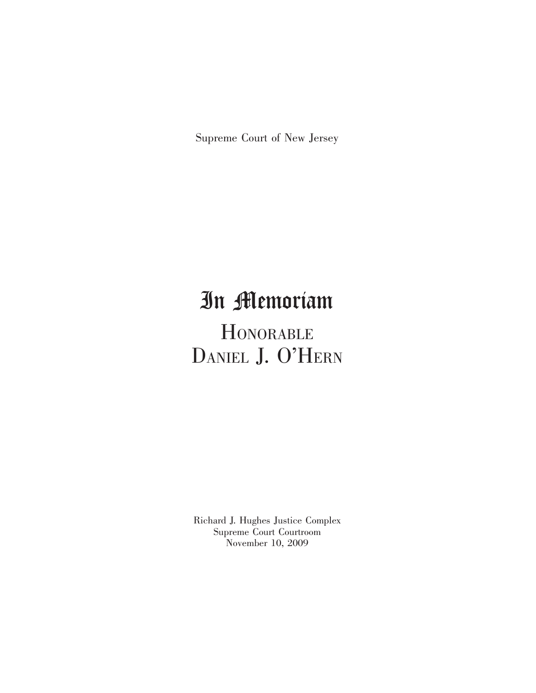Supreme Court of New Jersey

# In Memoriam **HONORABLE** DANIEL J. O'HERN

Richard J. Hughes Justice Complex Supreme Court Courtroom November 10, 2009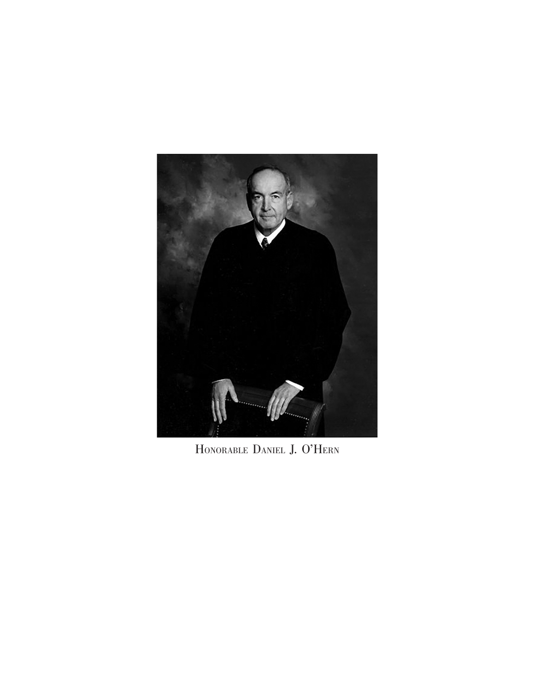

HONORABLE DANIEL J. O'HERN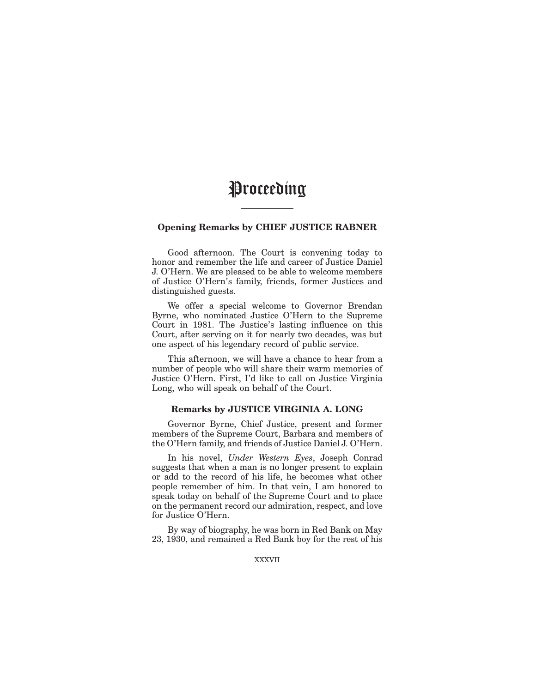# Proceeding

# **Opening Remarks by CHIEF JUSTICE RABNER**

Good afternoon. The Court is convening today to honor and remember the life and career of Justice Daniel J. O'Hern. We are pleased to be able to welcome members of Justice O'Hern's family, friends, former Justices and distinguished guests.

We offer a special welcome to Governor Brendan Byrne, who nominated Justice O'Hern to the Supreme Court in 1981. The Justice's lasting influence on this Court, after serving on it for nearly two decades, was but one aspect of his legendary record of public service.

This afternoon, we will have a chance to hear from a number of people who will share their warm memories of Justice O'Hern. First, I'd like to call on Justice Virginia Long, who will speak on behalf of the Court.

# **Remarks by JUSTICE VIRGINIA A. LONG**

Governor Byrne, Chief Justice, present and former members of the Supreme Court, Barbara and members of the O'Hern family, and friends of Justice Daniel J. O'Hern.

In his novel, *Under Western Eyes*, Joseph Conrad suggests that when a man is no longer present to explain or add to the record of his life, he becomes what other people remember of him. In that vein, I am honored to speak today on behalf of the Supreme Court and to place on the permanent record our admiration, respect, and love for Justice O'Hern.

By way of biography, he was born in Red Bank on May 23, 1930, and remained a Red Bank boy for the rest of his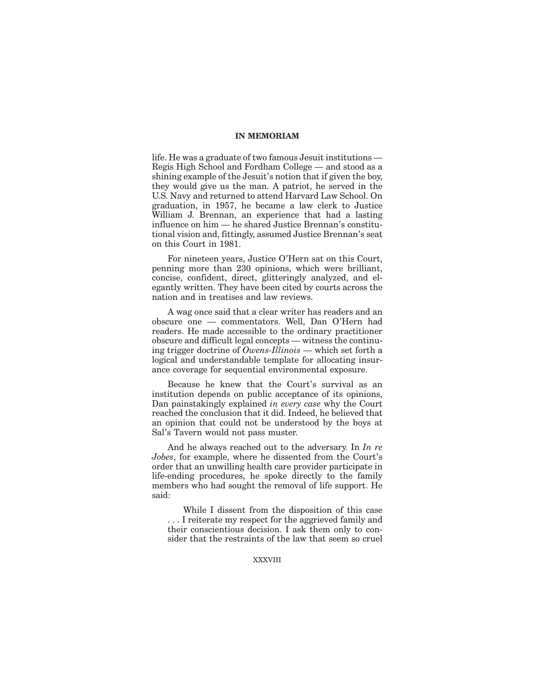life. He was a graduate of two famous Jesuit institutions — Regis High School and Fordham College — and stood as a shining example of the Jesuit's notion that if given the boy, they would give us the man. A patriot, he served in the U.S. Navy and returned to attend Harvard Law School. On graduation, in 1957, he became a law clerk to Justice William J. Brennan, an experience that had a lasting influence on him — he shared Justice Brennan's constitutional vision and, fittingly, assumed Justice Brennan's seat on this Court in 1981.

For nineteen years, Justice O'Hern sat on this Court, penning more than 230 opinions, which were brilliant, concise, confident, direct, glitteringly analyzed, and elegantly written. They have been cited by courts across the nation and in treatises and law reviews.

A wag once said that a clear writer has readers and an obscure one — commentators. Well, Dan O'Hern had readers. He made accessible to the ordinary practitioner obscure and difficult legal concepts — witness the continuing trigger doctrine of *Owens-Illinois* — which set forth a logical and understandable template for allocating insurance coverage for sequential environmental exposure.

Because he knew that the Court's survival as an institution depends on public acceptance of its opinions, Dan painstakingly explained *in every case* why the Court reached the conclusion that it did. Indeed, he believed that an opinion that could not be understood by the boys at Sal's Tavern would not pass muster.

And he always reached out to the adversary. In *In re Jobes*, for example, where he dissented from the Court's order that an unwilling health care provider participate in life-ending procedures, he spoke directly to the family members who had sought the removal of life support. He said:

While I dissent from the disposition of this case ...I reiterate my respect for the aggrieved family and their conscientious decision. I ask them only to consider that the restraints of the law that seem so cruel

#### XXXVIII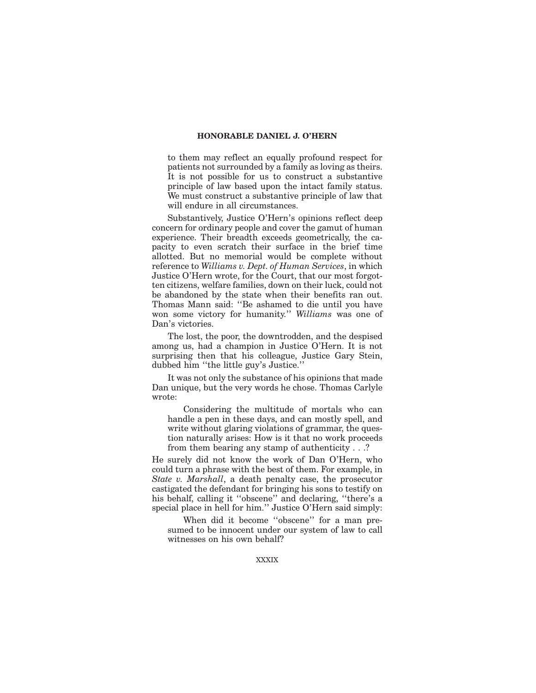to them may reflect an equally profound respect for patients not surrounded by a family as loving as theirs. It is not possible for us to construct a substantive principle of law based upon the intact family status. We must construct a substantive principle of law that will endure in all circumstances.

Substantively, Justice O'Hern's opinions reflect deep concern for ordinary people and cover the gamut of human experience. Their breadth exceeds geometrically, the capacity to even scratch their surface in the brief time allotted. But no memorial would be complete without reference to *Williams v. Dept. of Human Services*, in which Justice O'Hern wrote, for the Court, that our most forgotten citizens, welfare families, down on their luck, could not be abandoned by the state when their benefits ran out. Thomas Mann said: ''Be ashamed to die until you have won some victory for humanity.'' *Williams* was one of Dan's victories.

The lost, the poor, the downtrodden, and the despised among us, had a champion in Justice O'Hern. It is not surprising then that his colleague, Justice Gary Stein, dubbed him ''the little guy's Justice.''

It was not only the substance of his opinions that made Dan unique, but the very words he chose. Thomas Carlyle wrote:

Considering the multitude of mortals who can handle a pen in these days, and can mostly spell, and write without glaring violations of grammar, the question naturally arises: How is it that no work proceeds from them bearing any stamp of authenticity . . .?

He surely did not know the work of Dan O'Hern, who could turn a phrase with the best of them. For example, in *State v. Marshall*, a death penalty case, the prosecutor castigated the defendant for bringing his sons to testify on his behalf, calling it ''obscene'' and declaring, ''there's a special place in hell for him.'' Justice O'Hern said simply:

When did it become "obscene" for a man presumed to be innocent under our system of law to call witnesses on his own behalf?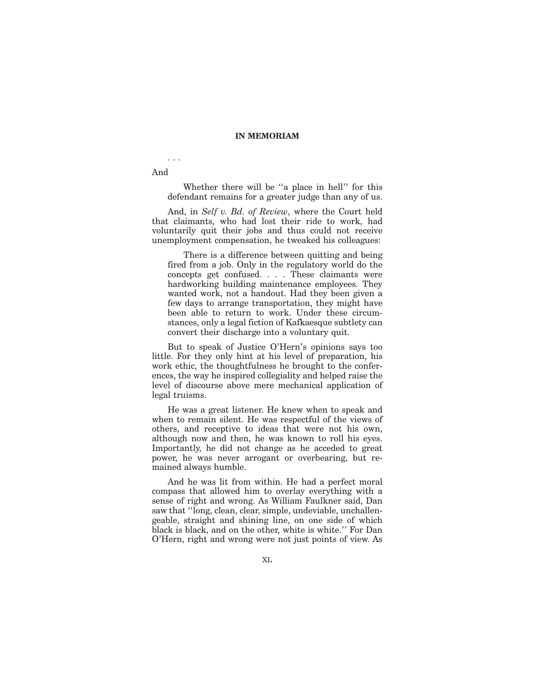...

And

Whether there will be ''a place in hell'' for this defendant remains for a greater judge than any of us.

And, in *Self v. Bd. of Review*, where the Court held that claimants, who had lost their ride to work, had voluntarily quit their jobs and thus could not receive unemployment compensation, he tweaked his colleagues:

There is a difference between quitting and being fired from a job. Only in the regulatory world do the concepts get confused.... These claimants were hardworking building maintenance employees. They wanted work, not a handout. Had they been given a few days to arrange transportation, they might have been able to return to work. Under these circumstances, only a legal fiction of Kafkaesque subtlety can convert their discharge into a voluntary quit.

But to speak of Justice O'Hern's opinions says too little. For they only hint at his level of preparation, his work ethic, the thoughtfulness he brought to the conferences, the way he inspired collegiality and helped raise the level of discourse above mere mechanical application of legal truisms.

He was a great listener. He knew when to speak and when to remain silent. He was respectful of the views of others, and receptive to ideas that were not his own, although now and then, he was known to roll his eyes. Importantly, he did not change as he acceded to great power, he was never arrogant or overbearing, but remained always humble.

And he was lit from within. He had a perfect moral compass that allowed him to overlay everything with a sense of right and wrong. As William Faulkner said, Dan saw that "long, clean, clear, simple, undeviable, unchallengeable, straight and shining line, on one side of which black is black, and on the other, white is white.'' For Dan O'Hern, right and wrong were not just points of view. As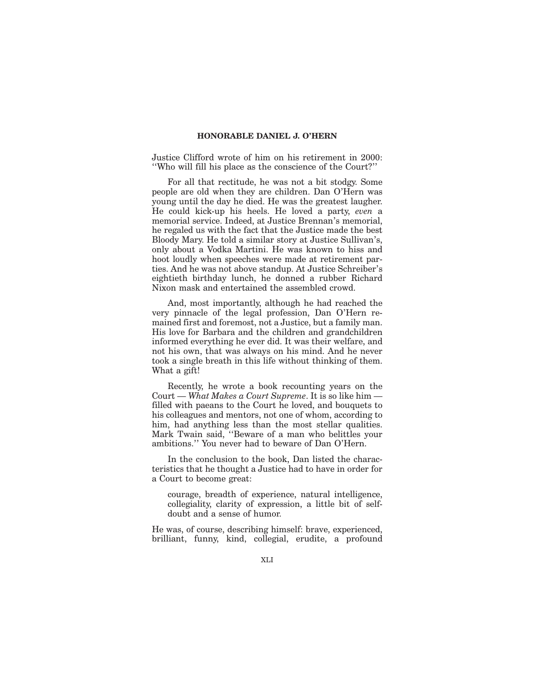Justice Clifford wrote of him on his retirement in 2000: ''Who will fill his place as the conscience of the Court?''

For all that rectitude, he was not a bit stodgy. Some people are old when they are children. Dan O'Hern was young until the day he died. He was the greatest laugher. He could kick-up his heels. He loved a party, *even* a memorial service. Indeed, at Justice Brennan's memorial, he regaled us with the fact that the Justice made the best Bloody Mary. He told a similar story at Justice Sullivan's, only about a Vodka Martini. He was known to hiss and hoot loudly when speeches were made at retirement parties. And he was not above standup. At Justice Schreiber's eightieth birthday lunch, he donned a rubber Richard Nixon mask and entertained the assembled crowd.

And, most importantly, although he had reached the very pinnacle of the legal profession, Dan O'Hern remained first and foremost, not a Justice, but a family man. His love for Barbara and the children and grandchildren informed everything he ever did. It was their welfare, and not his own, that was always on his mind. And he never took a single breath in this life without thinking of them. What a gift!

Recently, he wrote a book recounting years on the Court — *What Makes a Court Supreme*. It is so like him filled with paeans to the Court he loved, and bouquets to his colleagues and mentors, not one of whom, according to him, had anything less than the most stellar qualities. Mark Twain said, "Beware of a man who belittles your ambitions.'' You never had to beware of Dan O'Hern.

In the conclusion to the book, Dan listed the characteristics that he thought a Justice had to have in order for a Court to become great:

courage, breadth of experience, natural intelligence, collegiality, clarity of expression, a little bit of selfdoubt and a sense of humor.

He was, of course, describing himself: brave, experienced, brilliant, funny, kind, collegial, erudite, a profound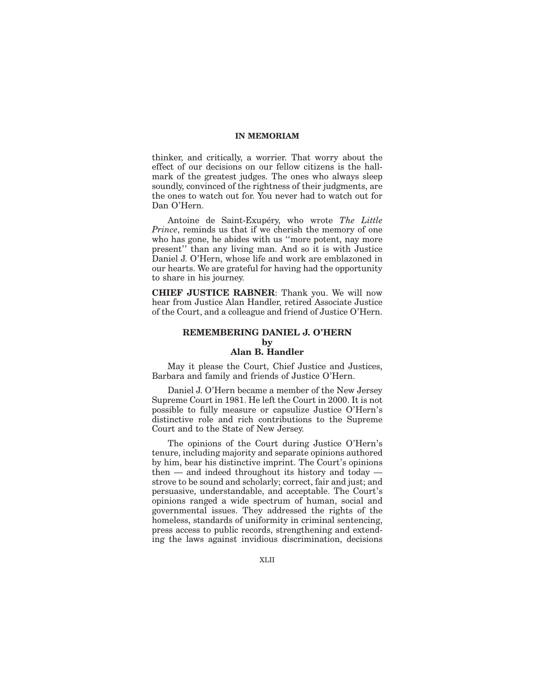thinker, and critically, a worrier. That worry about the effect of our decisions on our fellow citizens is the hallmark of the greatest judges. The ones who always sleep soundly, convinced of the rightness of their judgments, are the ones to watch out for. You never had to watch out for Dan O'Hern.

Antoine de Saint-Exupéry, who wrote *The Little Prince*, reminds us that if we cherish the memory of one who has gone, he abides with us ''more potent, nay more present'' than any living man. And so it is with Justice Daniel J. O'Hern, whose life and work are emblazoned in our hearts. We are grateful for having had the opportunity to share in his journey.

**CHIEF JUSTICE RABNER**: Thank you. We will now hear from Justice Alan Handler, retired Associate Justice of the Court, and a colleague and friend of Justice O'Hern.

## **REMEMBERING DANIEL J. O'HERN by Alan B. Handler**

May it please the Court, Chief Justice and Justices, Barbara and family and friends of Justice O'Hern.

Daniel J. O'Hern became a member of the New Jersey Supreme Court in 1981. He left the Court in 2000. It is not possible to fully measure or capsulize Justice O'Hern's distinctive role and rich contributions to the Supreme Court and to the State of New Jersey.

The opinions of the Court during Justice O'Hern's tenure, including majority and separate opinions authored by him, bear his distinctive imprint. The Court's opinions then — and indeed throughout its history and today strove to be sound and scholarly; correct, fair and just; and persuasive, understandable, and acceptable. The Court's opinions ranged a wide spectrum of human, social and governmental issues. They addressed the rights of the homeless, standards of uniformity in criminal sentencing, press access to public records, strengthening and extending the laws against invidious discrimination, decisions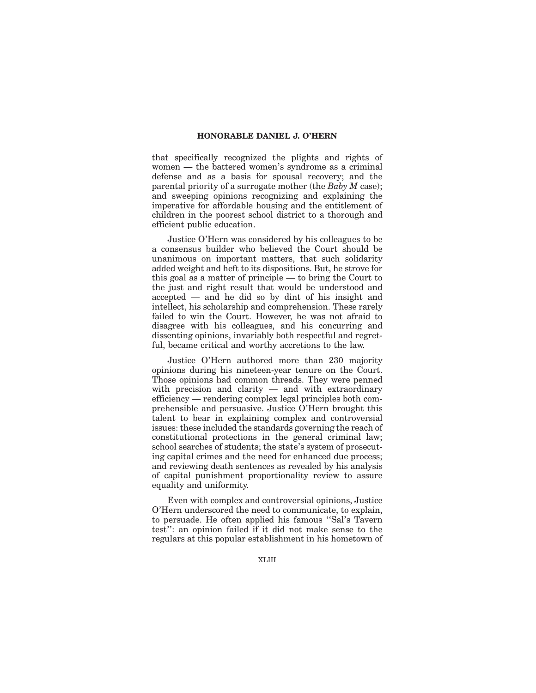that specifically recognized the plights and rights of women — the battered women's syndrome as a criminal defense and as a basis for spousal recovery; and the parental priority of a surrogate mother (the *Baby M* case); and sweeping opinions recognizing and explaining the imperative for affordable housing and the entitlement of children in the poorest school district to a thorough and efficient public education.

Justice O'Hern was considered by his colleagues to be a consensus builder who believed the Court should be unanimous on important matters, that such solidarity added weight and heft to its dispositions. But, he strove for this goal as a matter of principle — to bring the Court to the just and right result that would be understood and accepted — and he did so by dint of his insight and intellect, his scholarship and comprehension. These rarely failed to win the Court. However, he was not afraid to disagree with his colleagues, and his concurring and dissenting opinions, invariably both respectful and regretful, became critical and worthy accretions to the law.

Justice O'Hern authored more than 230 majority opinions during his nineteen-year tenure on the Court. Those opinions had common threads. They were penned with precision and clarity — and with extraordinary efficiency — rendering complex legal principles both comprehensible and persuasive. Justice O'Hern brought this talent to bear in explaining complex and controversial issues: these included the standards governing the reach of constitutional protections in the general criminal law; school searches of students; the state's system of prosecuting capital crimes and the need for enhanced due process; and reviewing death sentences as revealed by his analysis of capital punishment proportionality review to assure equality and uniformity.

Even with complex and controversial opinions, Justice O'Hern underscored the need to communicate, to explain, to persuade. He often applied his famous ''Sal's Tavern test'': an opinion failed if it did not make sense to the regulars at this popular establishment in his hometown of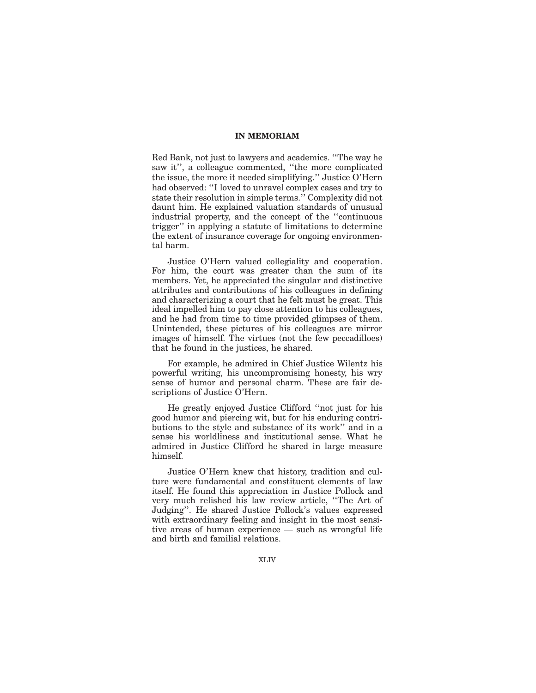Red Bank, not just to lawyers and academics. ''The way he saw it'', a colleague commented, ''the more complicated the issue, the more it needed simplifying.'' Justice O'Hern had observed: ''I loved to unravel complex cases and try to state their resolution in simple terms.'' Complexity did not daunt him. He explained valuation standards of unusual industrial property, and the concept of the ''continuous trigger'' in applying a statute of limitations to determine the extent of insurance coverage for ongoing environmental harm.

Justice O'Hern valued collegiality and cooperation. For him, the court was greater than the sum of its members. Yet, he appreciated the singular and distinctive attributes and contributions of his colleagues in defining and characterizing a court that he felt must be great. This ideal impelled him to pay close attention to his colleagues, and he had from time to time provided glimpses of them. Unintended, these pictures of his colleagues are mirror images of himself. The virtues (not the few peccadilloes) that he found in the justices, he shared.

For example, he admired in Chief Justice Wilentz his powerful writing, his uncompromising honesty, his wry sense of humor and personal charm. These are fair descriptions of Justice O'Hern.

He greatly enjoyed Justice Clifford ''not just for his good humor and piercing wit, but for his enduring contributions to the style and substance of its work'' and in a sense his worldliness and institutional sense. What he admired in Justice Clifford he shared in large measure himself.

Justice O'Hern knew that history, tradition and culture were fundamental and constituent elements of law itself. He found this appreciation in Justice Pollock and very much relished his law review article, ''The Art of Judging''. He shared Justice Pollock's values expressed with extraordinary feeling and insight in the most sensitive areas of human experience — such as wrongful life and birth and familial relations.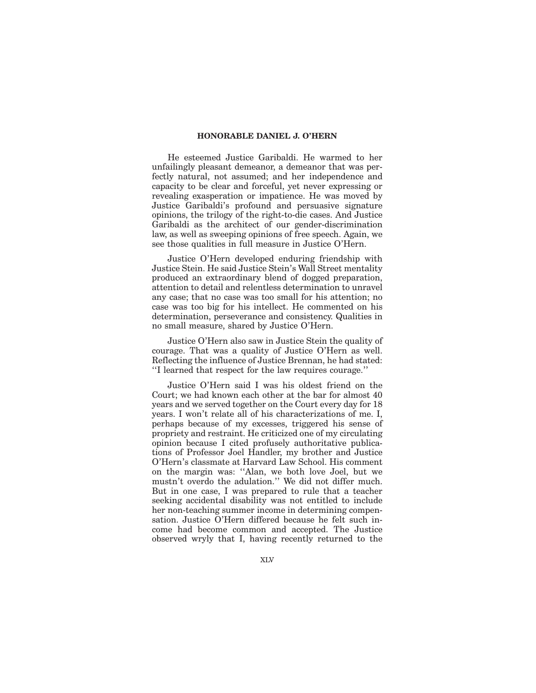He esteemed Justice Garibaldi. He warmed to her unfailingly pleasant demeanor, a demeanor that was perfectly natural, not assumed; and her independence and capacity to be clear and forceful, yet never expressing or revealing exasperation or impatience. He was moved by Justice Garibaldi's profound and persuasive signature opinions, the trilogy of the right-to-die cases. And Justice Garibaldi as the architect of our gender-discrimination law, as well as sweeping opinions of free speech. Again, we see those qualities in full measure in Justice O'Hern.

Justice O'Hern developed enduring friendship with Justice Stein. He said Justice Stein's Wall Street mentality produced an extraordinary blend of dogged preparation, attention to detail and relentless determination to unravel any case; that no case was too small for his attention; no case was too big for his intellect. He commented on his determination, perseverance and consistency. Qualities in no small measure, shared by Justice O'Hern.

Justice O'Hern also saw in Justice Stein the quality of courage. That was a quality of Justice O'Hern as well. Reflecting the influence of Justice Brennan, he had stated: ''I learned that respect for the law requires courage.''

Justice O'Hern said I was his oldest friend on the Court; we had known each other at the bar for almost 40 years and we served together on the Court every day for 18 years. I won't relate all of his characterizations of me. I, perhaps because of my excesses, triggered his sense of propriety and restraint. He criticized one of my circulating opinion because I cited profusely authoritative publications of Professor Joel Handler, my brother and Justice O'Hern's classmate at Harvard Law School. His comment on the margin was: ''Alan, we both love Joel, but we mustn't overdo the adulation.'' We did not differ much. But in one case, I was prepared to rule that a teacher seeking accidental disability was not entitled to include her non-teaching summer income in determining compensation. Justice O'Hern differed because he felt such income had become common and accepted. The Justice observed wryly that I, having recently returned to the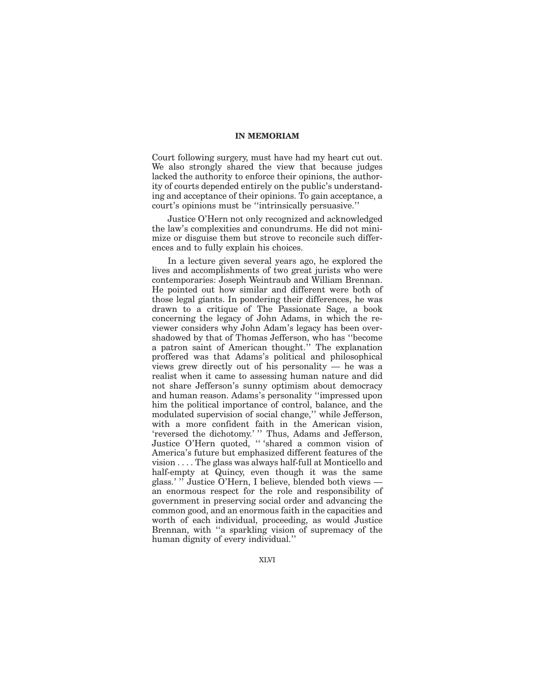Court following surgery, must have had my heart cut out. We also strongly shared the view that because judges lacked the authority to enforce their opinions, the authority of courts depended entirely on the public's understanding and acceptance of their opinions. To gain acceptance, a court's opinions must be ''intrinsically persuasive.''

Justice O'Hern not only recognized and acknowledged the law's complexities and conundrums. He did not minimize or disguise them but strove to reconcile such differences and to fully explain his choices.

In a lecture given several years ago, he explored the lives and accomplishments of two great jurists who were contemporaries: Joseph Weintraub and William Brennan. He pointed out how similar and different were both of those legal giants. In pondering their differences, he was drawn to a critique of The Passionate Sage, a book concerning the legacy of John Adams, in which the reviewer considers why John Adam's legacy has been overshadowed by that of Thomas Jefferson, who has ''become a patron saint of American thought.'' The explanation proffered was that Adams's political and philosophical views grew directly out of his personality — he was a realist when it came to assessing human nature and did not share Jefferson's sunny optimism about democracy and human reason. Adams's personality ''impressed upon him the political importance of control, balance, and the modulated supervision of social change,'' while Jefferson, with a more confident faith in the American vision, 'reversed the dichotomy.' '' Thus, Adams and Jefferson, Justice O'Hern quoted, '' 'shared a common vision of America's future but emphasized different features of the vision . . . . The glass was always half-full at Monticello and half-empty at Quincy, even though it was the same glass.' '' Justice O'Hern, I believe, blended both views an enormous respect for the role and responsibility of government in preserving social order and advancing the common good, and an enormous faith in the capacities and worth of each individual, proceeding, as would Justice Brennan, with ''a sparkling vision of supremacy of the human dignity of every individual.''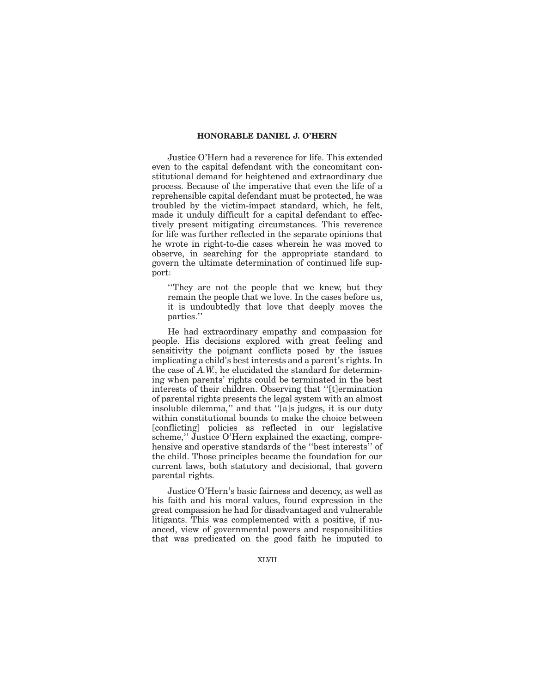Justice O'Hern had a reverence for life. This extended even to the capital defendant with the concomitant constitutional demand for heightened and extraordinary due process. Because of the imperative that even the life of a reprehensible capital defendant must be protected, he was troubled by the victim-impact standard, which, he felt, made it unduly difficult for a capital defendant to effectively present mitigating circumstances. This reverence for life was further reflected in the separate opinions that he wrote in right-to-die cases wherein he was moved to observe, in searching for the appropriate standard to govern the ultimate determination of continued life support:

''They are not the people that we knew, but they remain the people that we love. In the cases before us, it is undoubtedly that love that deeply moves the parties.''

He had extraordinary empathy and compassion for people. His decisions explored with great feeling and sensitivity the poignant conflicts posed by the issues implicating a child's best interests and a parent's rights. In the case of *A.W.*, he elucidated the standard for determining when parents' rights could be terminated in the best interests of their children. Observing that ''[t]ermination of parental rights presents the legal system with an almost insoluble dilemma,'' and that ''[a]s judges, it is our duty within constitutional bounds to make the choice between [conflicting] policies as reflected in our legislative scheme,'' Justice O'Hern explained the exacting, comprehensive and operative standards of the ''best interests'' of the child. Those principles became the foundation for our current laws, both statutory and decisional, that govern parental rights.

Justice O'Hern's basic fairness and decency, as well as his faith and his moral values, found expression in the great compassion he had for disadvantaged and vulnerable litigants. This was complemented with a positive, if nuanced, view of governmental powers and responsibilities that was predicated on the good faith he imputed to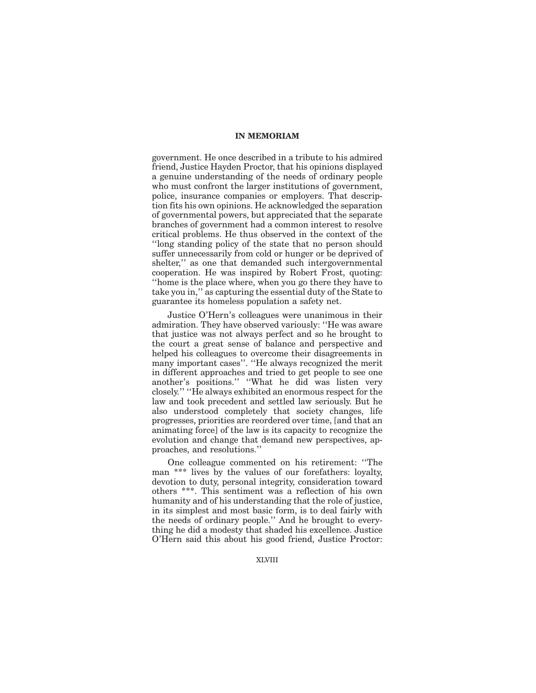government. He once described in a tribute to his admired friend, Justice Hayden Proctor, that his opinions displayed a genuine understanding of the needs of ordinary people who must confront the larger institutions of government, police, insurance companies or employers. That description fits his own opinions. He acknowledged the separation of governmental powers, but appreciated that the separate branches of government had a common interest to resolve critical problems. He thus observed in the context of the ''long standing policy of the state that no person should suffer unnecessarily from cold or hunger or be deprived of shelter,'' as one that demanded such intergovernmental cooperation. He was inspired by Robert Frost, quoting: ''home is the place where, when you go there they have to take you in,'' as capturing the essential duty of the State to guarantee its homeless population a safety net.

Justice O'Hern's colleagues were unanimous in their admiration. They have observed variously: ''He was aware that justice was not always perfect and so he brought to the court a great sense of balance and perspective and helped his colleagues to overcome their disagreements in many important cases''. ''He always recognized the merit in different approaches and tried to get people to see one another's positions.'' ''What he did was listen very closely.'' ''He always exhibited an enormous respect for the law and took precedent and settled law seriously. But he also understood completely that society changes, life progresses, priorities are reordered over time, [and that an animating force] of the law is its capacity to recognize the evolution and change that demand new perspectives, approaches, and resolutions.''

One colleague commented on his retirement: ''The man \*\*\* lives by the values of our forefathers: loyalty, devotion to duty, personal integrity, consideration toward others \*\*\*. This sentiment was a reflection of his own humanity and of his understanding that the role of justice, in its simplest and most basic form, is to deal fairly with the needs of ordinary people.'' And he brought to everything he did a modesty that shaded his excellence. Justice O'Hern said this about his good friend, Justice Proctor: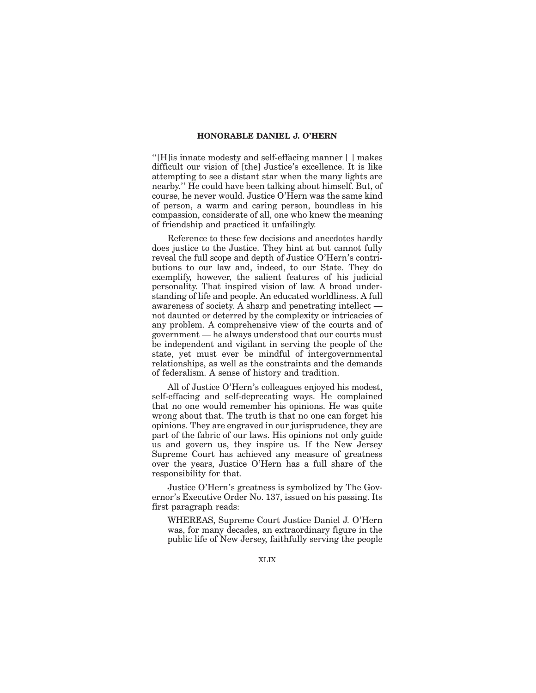''[H]is innate modesty and self-effacing manner [ ] makes difficult our vision of [the] Justice's excellence. It is like attempting to see a distant star when the many lights are nearby.'' He could have been talking about himself. But, of course, he never would. Justice O'Hern was the same kind of person, a warm and caring person, boundless in his compassion, considerate of all, one who knew the meaning of friendship and practiced it unfailingly.

Reference to these few decisions and anecdotes hardly does justice to the Justice. They hint at but cannot fully reveal the full scope and depth of Justice O'Hern's contributions to our law and, indeed, to our State. They do exemplify, however, the salient features of his judicial personality. That inspired vision of law. A broad understanding of life and people. An educated worldliness. A full awareness of society. A sharp and penetrating intellect not daunted or deterred by the complexity or intricacies of any problem. A comprehensive view of the courts and of government — he always understood that our courts must be independent and vigilant in serving the people of the state, yet must ever be mindful of intergovernmental relationships, as well as the constraints and the demands of federalism. A sense of history and tradition.

All of Justice O'Hern's colleagues enjoyed his modest, self-effacing and self-deprecating ways. He complained that no one would remember his opinions. He was quite wrong about that. The truth is that no one can forget his opinions. They are engraved in our jurisprudence, they are part of the fabric of our laws. His opinions not only guide us and govern us, they inspire us. If the New Jersey Supreme Court has achieved any measure of greatness over the years, Justice O'Hern has a full share of the responsibility for that.

Justice O'Hern's greatness is symbolized by The Governor's Executive Order No. 137, issued on his passing. Its first paragraph reads:

WHEREAS, Supreme Court Justice Daniel J. O'Hern was, for many decades, an extraordinary figure in the public life of New Jersey, faithfully serving the people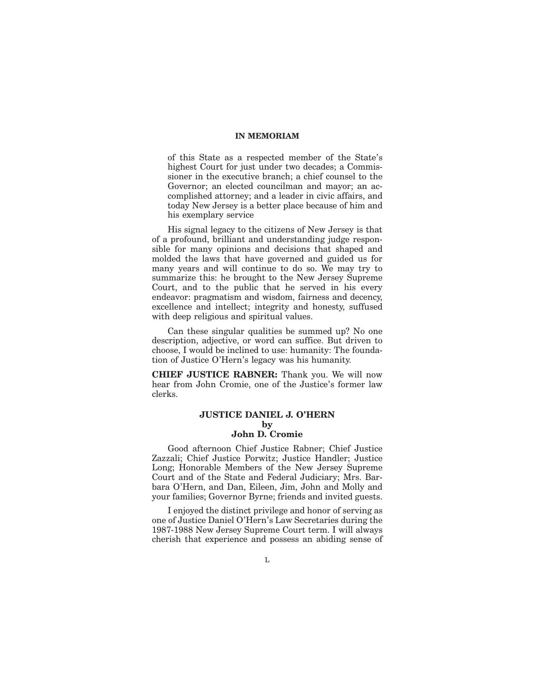of this State as a respected member of the State's highest Court for just under two decades; a Commissioner in the executive branch; a chief counsel to the Governor; an elected councilman and mayor; an accomplished attorney; and a leader in civic affairs, and today New Jersey is a better place because of him and his exemplary service

His signal legacy to the citizens of New Jersey is that of a profound, brilliant and understanding judge responsible for many opinions and decisions that shaped and molded the laws that have governed and guided us for many years and will continue to do so. We may try to summarize this: he brought to the New Jersey Supreme Court, and to the public that he served in his every endeavor: pragmatism and wisdom, fairness and decency, excellence and intellect; integrity and honesty, suffused with deep religious and spiritual values.

Can these singular qualities be summed up? No one description, adjective, or word can suffice. But driven to choose, I would be inclined to use: humanity: The foundation of Justice O'Hern's legacy was his humanity.

**CHIEF JUSTICE RABNER:** Thank you. We will now hear from John Cromie, one of the Justice's former law clerks.

### **JUSTICE DANIEL J. O'HERN by John D. Cromie**

Good afternoon Chief Justice Rabner; Chief Justice Zazzali; Chief Justice Porwitz; Justice Handler; Justice Long; Honorable Members of the New Jersey Supreme Court and of the State and Federal Judiciary; Mrs. Barbara O'Hern, and Dan, Eileen, Jim, John and Molly and your families; Governor Byrne; friends and invited guests.

I enjoyed the distinct privilege and honor of serving as one of Justice Daniel O'Hern's Law Secretaries during the 1987-1988 New Jersey Supreme Court term. I will always cherish that experience and possess an abiding sense of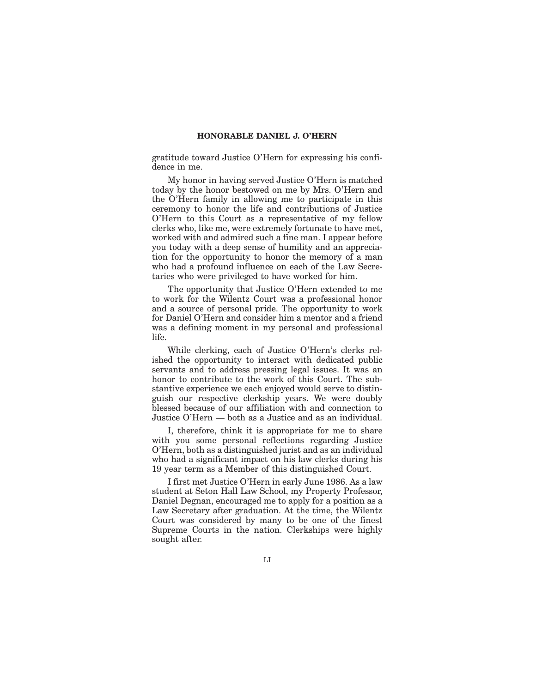gratitude toward Justice O'Hern for expressing his confidence in me.

My honor in having served Justice O'Hern is matched today by the honor bestowed on me by Mrs. O'Hern and the O'Hern family in allowing me to participate in this ceremony to honor the life and contributions of Justice O'Hern to this Court as a representative of my fellow clerks who, like me, were extremely fortunate to have met, worked with and admired such a fine man. I appear before you today with a deep sense of humility and an appreciation for the opportunity to honor the memory of a man who had a profound influence on each of the Law Secretaries who were privileged to have worked for him.

The opportunity that Justice O'Hern extended to me to work for the Wilentz Court was a professional honor and a source of personal pride. The opportunity to work for Daniel O'Hern and consider him a mentor and a friend was a defining moment in my personal and professional life.

While clerking, each of Justice O'Hern's clerks relished the opportunity to interact with dedicated public servants and to address pressing legal issues. It was an honor to contribute to the work of this Court. The substantive experience we each enjoyed would serve to distinguish our respective clerkship years. We were doubly blessed because of our affiliation with and connection to Justice O'Hern — both as a Justice and as an individual.

I, therefore, think it is appropriate for me to share with you some personal reflections regarding Justice O'Hern, both as a distinguished jurist and as an individual who had a significant impact on his law clerks during his 19 year term as a Member of this distinguished Court.

I first met Justice O'Hern in early June 1986. As a law student at Seton Hall Law School, my Property Professor, Daniel Degnan, encouraged me to apply for a position as a Law Secretary after graduation. At the time, the Wilentz Court was considered by many to be one of the finest Supreme Courts in the nation. Clerkships were highly sought after.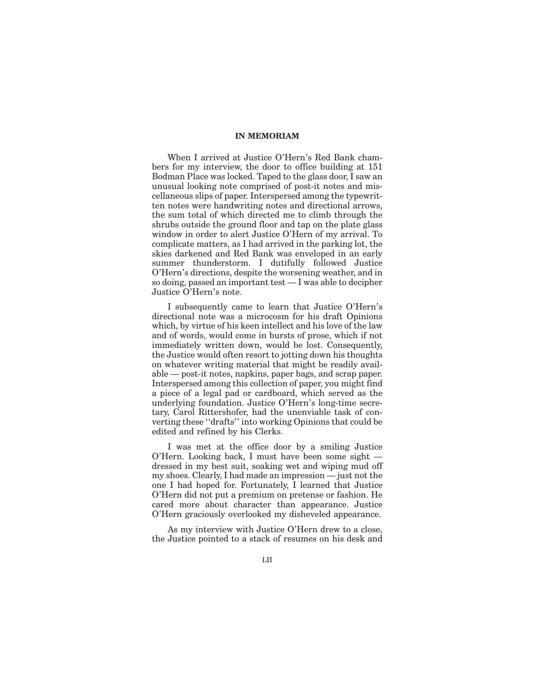When I arrived at Justice O'Hern's Red Bank chambers for my interview, the door to office building at 151 Bodman Place was locked. Taped to the glass door, I saw an unusual looking note comprised of post-it notes and miscellaneous slips of paper. Interspersed among the typewritten notes were handwriting notes and directional arrows, the sum total of which directed me to climb through the shrubs outside the ground floor and tap on the plate glass window in order to alert Justice O'Hern of my arrival. To complicate matters, as I had arrived in the parking lot, the skies darkened and Red Bank was enveloped in an early summer thunderstorm. I dutifully followed Justice O'Hern's directions, despite the worsening weather, and in so doing, passed an important test — I was able to decipher Justice O'Hern's note.

I subsequently came to learn that Justice O'Hern's directional note was a microcosm for his draft Opinions which, by virtue of his keen intellect and his love of the law and of words, would come in bursts of prose, which if not immediately written down, would be lost. Consequently, the Justice would often resort to jotting down his thoughts on whatever writing material that might be readily available — post-it notes, napkins, paper bags, and scrap paper. Interspersed among this collection of paper, you might find a piece of a legal pad or cardboard, which served as the underlying foundation. Justice O'Hern's long-time secretary, Carol Rittershofer, had the unenviable task of converting these ''drafts'' into working Opinions that could be edited and refined by his Clerks.

I was met at the office door by a smiling Justice O'Hern. Looking back, I must have been some sight dressed in my best suit, soaking wet and wiping mud off my shoes. Clearly, I had made an impression — just not the one I had hoped for. Fortunately, I learned that Justice O'Hern did not put a premium on pretense or fashion. He cared more about character than appearance. Justice O'Hern graciously overlooked my disheveled appearance.

As my interview with Justice O'Hern drew to a close, the Justice pointed to a stack of resumes on his desk and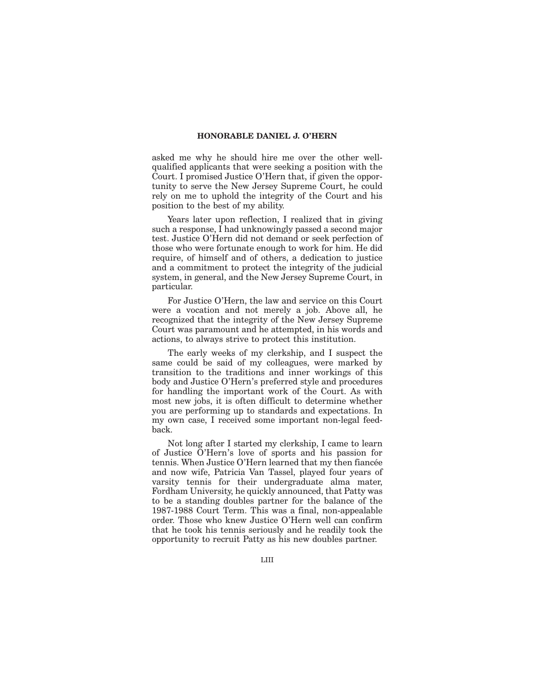asked me why he should hire me over the other wellqualified applicants that were seeking a position with the Court. I promised Justice O'Hern that, if given the opportunity to serve the New Jersey Supreme Court, he could rely on me to uphold the integrity of the Court and his position to the best of my ability.

Years later upon reflection, I realized that in giving such a response, I had unknowingly passed a second major test. Justice O'Hern did not demand or seek perfection of those who were fortunate enough to work for him. He did require, of himself and of others, a dedication to justice and a commitment to protect the integrity of the judicial system, in general, and the New Jersey Supreme Court, in particular.

For Justice O'Hern, the law and service on this Court were a vocation and not merely a job. Above all, he recognized that the integrity of the New Jersey Supreme Court was paramount and he attempted, in his words and actions, to always strive to protect this institution.

The early weeks of my clerkship, and I suspect the same could be said of my colleagues, were marked by transition to the traditions and inner workings of this body and Justice O'Hern's preferred style and procedures for handling the important work of the Court. As with most new jobs, it is often difficult to determine whether you are performing up to standards and expectations. In my own case, I received some important non-legal feedback.

Not long after I started my clerkship, I came to learn of Justice O'Hern's love of sports and his passion for tennis. When Justice O'Hern learned that my then fiancée and now wife, Patricia Van Tassel, played four years of varsity tennis for their undergraduate alma mater, Fordham University, he quickly announced, that Patty was to be a standing doubles partner for the balance of the 1987-1988 Court Term. This was a final, non-appealable order. Those who knew Justice O'Hern well can confirm that he took his tennis seriously and he readily took the opportunity to recruit Patty as his new doubles partner.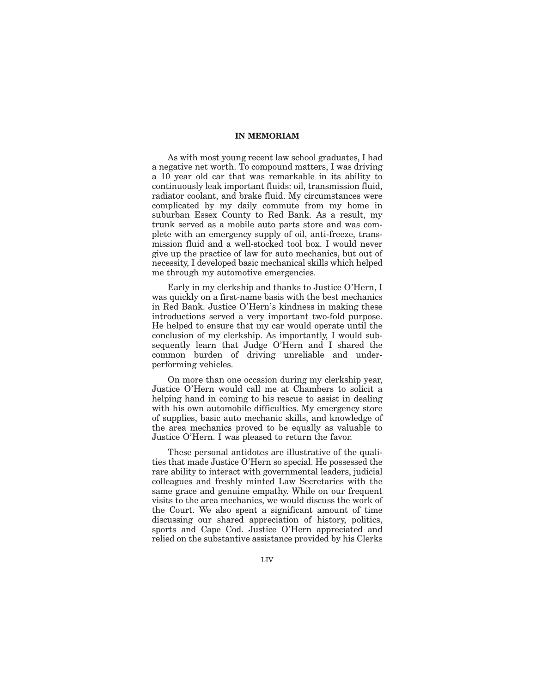As with most young recent law school graduates, I had a negative net worth. To compound matters, I was driving a 10 year old car that was remarkable in its ability to continuously leak important fluids: oil, transmission fluid, radiator coolant, and brake fluid. My circumstances were complicated by my daily commute from my home in suburban Essex County to Red Bank. As a result, my trunk served as a mobile auto parts store and was complete with an emergency supply of oil, anti-freeze, transmission fluid and a well-stocked tool box. I would never give up the practice of law for auto mechanics, but out of necessity, I developed basic mechanical skills which helped me through my automotive emergencies.

Early in my clerkship and thanks to Justice O'Hern, I was quickly on a first-name basis with the best mechanics in Red Bank. Justice O'Hern's kindness in making these introductions served a very important two-fold purpose. He helped to ensure that my car would operate until the conclusion of my clerkship. As importantly, I would subsequently learn that Judge O'Hern and I shared the common burden of driving unreliable and underperforming vehicles.

On more than one occasion during my clerkship year, Justice O'Hern would call me at Chambers to solicit a helping hand in coming to his rescue to assist in dealing with his own automobile difficulties. My emergency store of supplies, basic auto mechanic skills, and knowledge of the area mechanics proved to be equally as valuable to Justice O'Hern. I was pleased to return the favor.

These personal antidotes are illustrative of the qualities that made Justice O'Hern so special. He possessed the rare ability to interact with governmental leaders, judicial colleagues and freshly minted Law Secretaries with the same grace and genuine empathy. While on our frequent visits to the area mechanics, we would discuss the work of the Court. We also spent a significant amount of time discussing our shared appreciation of history, politics, sports and Cape Cod. Justice O'Hern appreciated and relied on the substantive assistance provided by his Clerks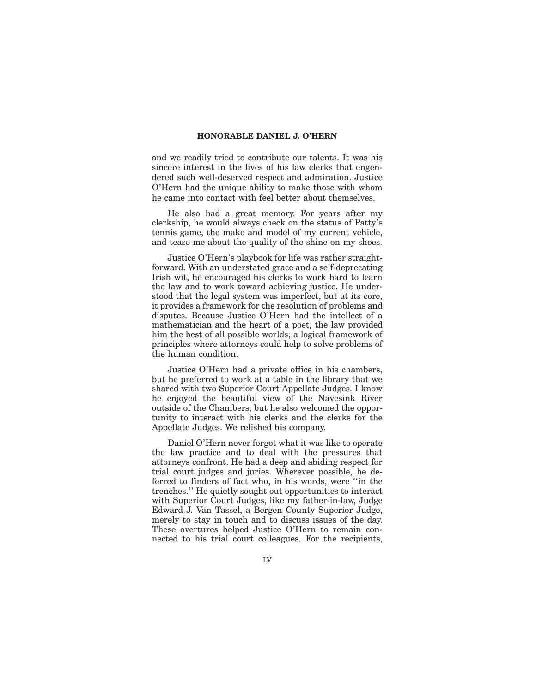and we readily tried to contribute our talents. It was his sincere interest in the lives of his law clerks that engendered such well-deserved respect and admiration. Justice O'Hern had the unique ability to make those with whom he came into contact with feel better about themselves.

He also had a great memory. For years after my clerkship, he would always check on the status of Patty's tennis game, the make and model of my current vehicle, and tease me about the quality of the shine on my shoes.

Justice O'Hern's playbook for life was rather straightforward. With an understated grace and a self-deprecating Irish wit, he encouraged his clerks to work hard to learn the law and to work toward achieving justice. He understood that the legal system was imperfect, but at its core, it provides a framework for the resolution of problems and disputes. Because Justice O'Hern had the intellect of a mathematician and the heart of a poet, the law provided him the best of all possible worlds; a logical framework of principles where attorneys could help to solve problems of the human condition.

Justice O'Hern had a private office in his chambers, but he preferred to work at a table in the library that we shared with two Superior Court Appellate Judges. I know he enjoyed the beautiful view of the Navesink River outside of the Chambers, but he also welcomed the opportunity to interact with his clerks and the clerks for the Appellate Judges. We relished his company.

Daniel O'Hern never forgot what it was like to operate the law practice and to deal with the pressures that attorneys confront. He had a deep and abiding respect for trial court judges and juries. Wherever possible, he deferred to finders of fact who, in his words, were ''in the trenches.'' He quietly sought out opportunities to interact with Superior Court Judges, like my father-in-law, Judge Edward J. Van Tassel, a Bergen County Superior Judge, merely to stay in touch and to discuss issues of the day. These overtures helped Justice O'Hern to remain connected to his trial court colleagues. For the recipients,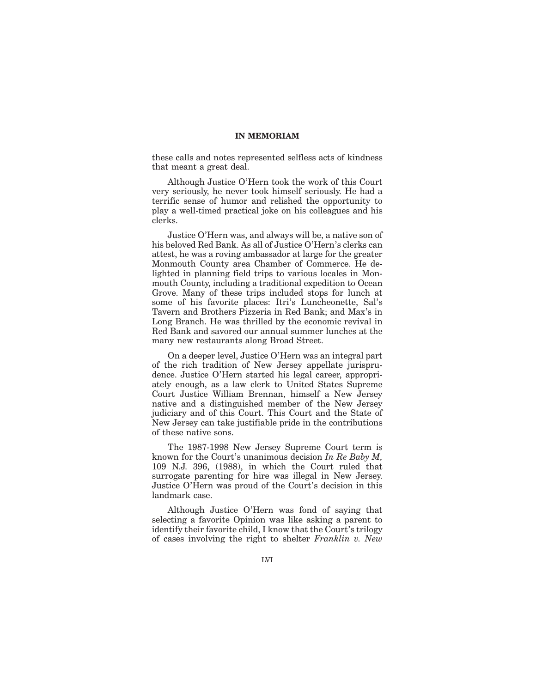these calls and notes represented selfless acts of kindness that meant a great deal.

Although Justice O'Hern took the work of this Court very seriously, he never took himself seriously. He had a terrific sense of humor and relished the opportunity to play a well-timed practical joke on his colleagues and his clerks.

Justice O'Hern was, and always will be, a native son of his beloved Red Bank. As all of Justice O'Hern's clerks can attest, he was a roving ambassador at large for the greater Monmouth County area Chamber of Commerce. He delighted in planning field trips to various locales in Monmouth County, including a traditional expedition to Ocean Grove. Many of these trips included stops for lunch at some of his favorite places: Itri's Luncheonette, Sal's Tavern and Brothers Pizzeria in Red Bank; and Max's in Long Branch. He was thrilled by the economic revival in Red Bank and savored our annual summer lunches at the many new restaurants along Broad Street.

On a deeper level, Justice O'Hern was an integral part of the rich tradition of New Jersey appellate jurisprudence. Justice O'Hern started his legal career, appropriately enough, as a law clerk to United States Supreme Court Justice William Brennan, himself a New Jersey native and a distinguished member of the New Jersey judiciary and of this Court. This Court and the State of New Jersey can take justifiable pride in the contributions of these native sons.

The 1987-1998 New Jersey Supreme Court term is known for the Court's unanimous decision *In Re Baby M,* 109 N.J. 396, (1988), in which the Court ruled that surrogate parenting for hire was illegal in New Jersey. Justice O'Hern was proud of the Court's decision in this landmark case.

Although Justice O'Hern was fond of saying that selecting a favorite Opinion was like asking a parent to identify their favorite child, I know that the Court's trilogy of cases involving the right to shelter *Franklin v. New*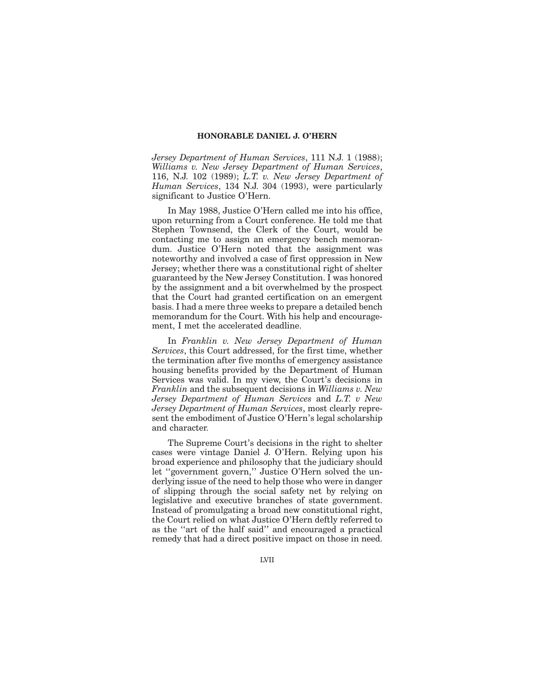*Jersey Department of Human Services*, 111 N.J. 1 (1988); *Williams v. New Jersey Department of Human Services*, 116, N.J. 102 (1989); *L.T. v. New Jersey Department of Human Services*, 134 N.J. 304 (1993), were particularly significant to Justice O'Hern.

In May 1988, Justice O'Hern called me into his office, upon returning from a Court conference. He told me that Stephen Townsend, the Clerk of the Court, would be contacting me to assign an emergency bench memorandum. Justice O'Hern noted that the assignment was noteworthy and involved a case of first oppression in New Jersey; whether there was a constitutional right of shelter guaranteed by the New Jersey Constitution. I was honored by the assignment and a bit overwhelmed by the prospect that the Court had granted certification on an emergent basis. I had a mere three weeks to prepare a detailed bench memorandum for the Court. With his help and encouragement, I met the accelerated deadline.

In *Franklin v. New Jersey Department of Human Services*, this Court addressed, for the first time, whether the termination after five months of emergency assistance housing benefits provided by the Department of Human Services was valid. In my view, the Court's decisions in *Franklin* and the subsequent decisions in *Williams v. New Jersey Department of Human Services* and *L.T. v New Jersey Department of Human Services*, most clearly represent the embodiment of Justice O'Hern's legal scholarship and character.

The Supreme Court's decisions in the right to shelter cases were vintage Daniel J. O'Hern. Relying upon his broad experience and philosophy that the judiciary should let ''government govern,'' Justice O'Hern solved the underlying issue of the need to help those who were in danger of slipping through the social safety net by relying on legislative and executive branches of state government. Instead of promulgating a broad new constitutional right, the Court relied on what Justice O'Hern deftly referred to as the ''art of the half said'' and encouraged a practical remedy that had a direct positive impact on those in need.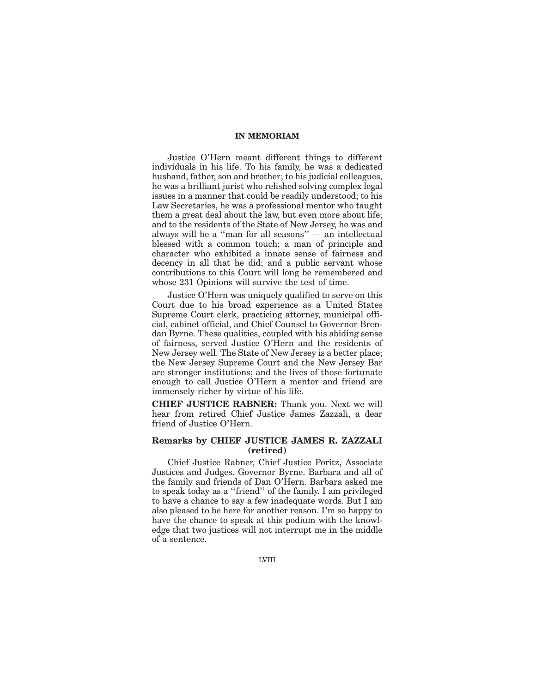Justice O'Hern meant different things to different individuals in his life. To his family, he was a dedicated husband, father, son and brother; to his judicial colleagues, he was a brilliant jurist who relished solving complex legal issues in a manner that could be readily understood; to his Law Secretaries, he was a professional mentor who taught them a great deal about the law, but even more about life; and to the residents of the State of New Jersey, he was and always will be a ''man for all seasons'' — an intellectual blessed with a common touch; a man of principle and character who exhibited a innate sense of fairness and decency in all that he did; and a public servant whose contributions to this Court will long be remembered and whose 231 Opinions will survive the test of time.

Justice O'Hern was uniquely qualified to serve on this Court due to his broad experience as a United States Supreme Court clerk, practicing attorney, municipal official, cabinet official, and Chief Counsel to Governor Brendan Byrne. These qualities, coupled with his abiding sense of fairness, served Justice O'Hern and the residents of New Jersey well. The State of New Jersey is a better place; the New Jersey Supreme Court and the New Jersey Bar are stronger institutions; and the lives of those fortunate enough to call Justice O'Hern a mentor and friend are immensely richer by virtue of his life.

**CHIEF JUSTICE RABNER:** Thank you. Next we will hear from retired Chief Justice James Zazzali, a dear friend of Justice O'Hern.

# **Remarks by CHIEF JUSTICE JAMES R. ZAZZALI (retired)**

Chief Justice Rabner, Chief Justice Poritz, Associate Justices and Judges. Governor Byrne. Barbara and all of the family and friends of Dan O'Hern. Barbara asked me to speak today as a ''friend'' of the family. I am privileged to have a chance to say a few inadequate words. But I am also pleased to be here for another reason. I'm so happy to have the chance to speak at this podium with the knowledge that two justices will not interrupt me in the middle of a sentence.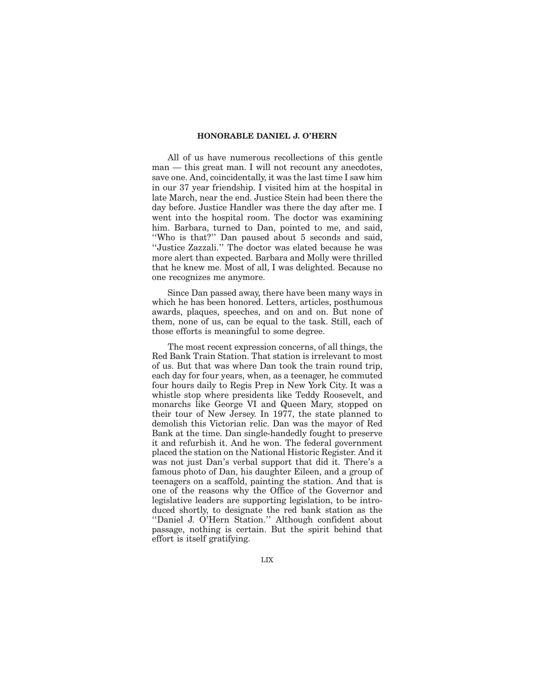All of us have numerous recollections of this gentle man — this great man. I will not recount any anecdotes, save one. And, coincidentally, it was the last time I saw him in our 37 year friendship. I visited him at the hospital in late March, near the end. Justice Stein had been there the day before. Justice Handler was there the day after me. I went into the hospital room. The doctor was examining him. Barbara, turned to Dan, pointed to me, and said, ''Who is that?'' Dan paused about 5 seconds and said, ''Justice Zazzali.'' The doctor was elated because he was more alert than expected. Barbara and Molly were thrilled that he knew me. Most of all, I was delighted. Because no one recognizes me anymore.

Since Dan passed away, there have been many ways in which he has been honored. Letters, articles, posthumous awards, plaques, speeches, and on and on. But none of them, none of us, can be equal to the task. Still, each of those efforts is meaningful to some degree.

The most recent expression concerns, of all things, the Red Bank Train Station. That station is irrelevant to most of us. But that was where Dan took the train round trip, each day for four years, when, as a teenager, he commuted four hours daily to Regis Prep in New York City. It was a whistle stop where presidents like Teddy Roosevelt, and monarchs like George VI and Queen Mary, stopped on their tour of New Jersey. In 1977, the state planned to demolish this Victorian relic. Dan was the mayor of Red Bank at the time. Dan single-handedly fought to preserve it and refurbish it. And he won. The federal government placed the station on the National Historic Register. And it was not just Dan's verbal support that did it. There's a famous photo of Dan, his daughter Eileen, and a group of teenagers on a scaffold, painting the station. And that is one of the reasons why the Office of the Governor and legislative leaders are supporting legislation, to be introduced shortly, to designate the red bank station as the ''Daniel J. O'Hern Station.'' Although confident about passage, nothing is certain. But the spirit behind that effort is itself gratifying.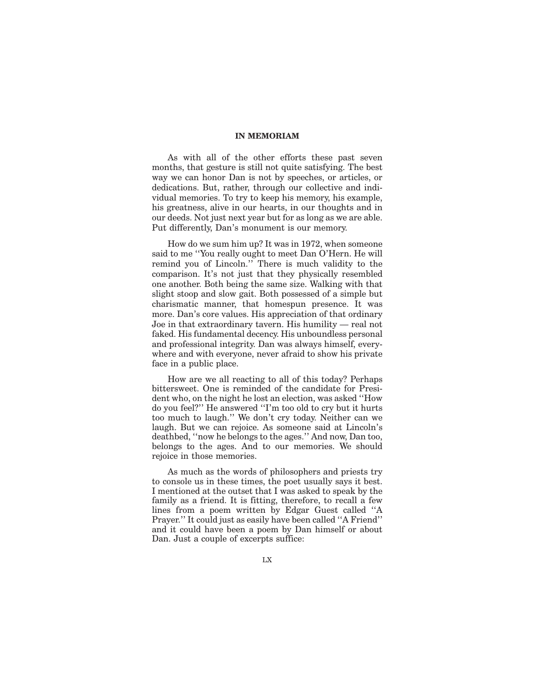As with all of the other efforts these past seven months, that gesture is still not quite satisfying. The best way we can honor Dan is not by speeches, or articles, or dedications. But, rather, through our collective and individual memories. To try to keep his memory, his example, his greatness, alive in our hearts, in our thoughts and in our deeds. Not just next year but for as long as we are able. Put differently, Dan's monument is our memory.

How do we sum him up? It was in 1972, when someone said to me ''You really ought to meet Dan O'Hern. He will remind you of Lincoln.'' There is much validity to the comparison. It's not just that they physically resembled one another. Both being the same size. Walking with that slight stoop and slow gait. Both possessed of a simple but charismatic manner, that homespun presence. It was more. Dan's core values. His appreciation of that ordinary Joe in that extraordinary tavern. His humility — real not faked. His fundamental decency. His unboundless personal and professional integrity. Dan was always himself, everywhere and with everyone, never afraid to show his private face in a public place.

How are we all reacting to all of this today? Perhaps bittersweet. One is reminded of the candidate for President who, on the night he lost an election, was asked ''How do you feel?'' He answered ''I'm too old to cry but it hurts too much to laugh.'' We don't cry today. Neither can we laugh. But we can rejoice. As someone said at Lincoln's deathbed, ''now he belongs to the ages.'' And now, Dan too, belongs to the ages. And to our memories. We should rejoice in those memories.

As much as the words of philosophers and priests try to console us in these times, the poet usually says it best. I mentioned at the outset that I was asked to speak by the family as a friend. It is fitting, therefore, to recall a few lines from a poem written by Edgar Guest called ''A Prayer.'' It could just as easily have been called ''A Friend'' and it could have been a poem by Dan himself or about Dan. Just a couple of excerpts suffice: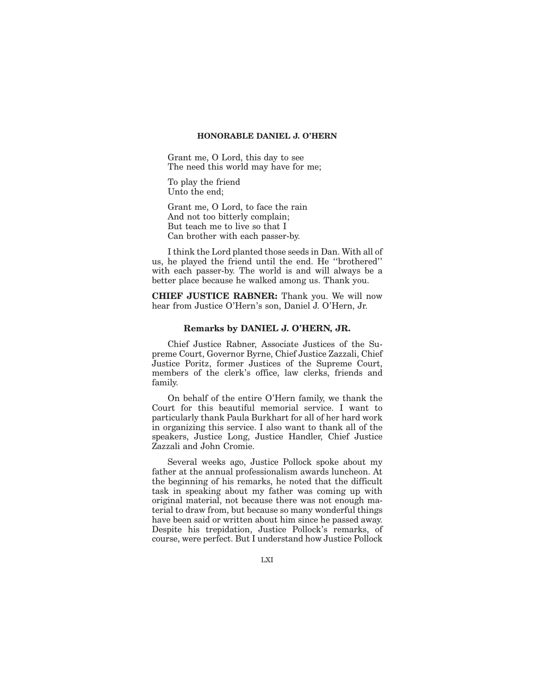Grant me, O Lord, this day to see The need this world may have for me;

To play the friend Unto the end;

Grant me, O Lord, to face the rain And not too bitterly complain; But teach me to live so that I Can brother with each passer-by.

I think the Lord planted those seeds in Dan. With all of us, he played the friend until the end. He ''brothered'' with each passer-by. The world is and will always be a better place because he walked among us. Thank you.

**CHIEF JUSTICE RABNER:** Thank you. We will now hear from Justice O'Hern's son, Daniel J. O'Hern, Jr.

#### **Remarks by DANIEL J. O'HERN, JR.**

Chief Justice Rabner, Associate Justices of the Supreme Court, Governor Byrne, Chief Justice Zazzali, Chief Justice Poritz, former Justices of the Supreme Court, members of the clerk's office, law clerks, friends and family.

On behalf of the entire O'Hern family, we thank the Court for this beautiful memorial service. I want to particularly thank Paula Burkhart for all of her hard work in organizing this service. I also want to thank all of the speakers, Justice Long, Justice Handler, Chief Justice Zazzali and John Cromie.

Several weeks ago, Justice Pollock spoke about my father at the annual professionalism awards luncheon. At the beginning of his remarks, he noted that the difficult task in speaking about my father was coming up with original material, not because there was not enough material to draw from, but because so many wonderful things have been said or written about him since he passed away. Despite his trepidation, Justice Pollock's remarks, of course, were perfect. But I understand how Justice Pollock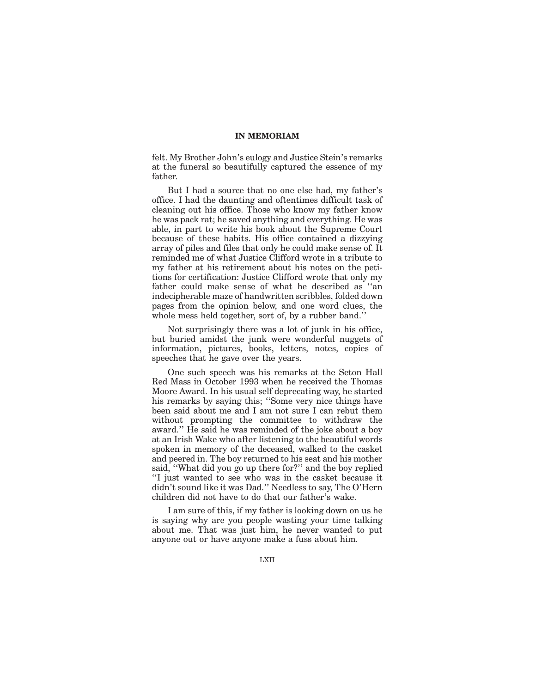felt. My Brother John's eulogy and Justice Stein's remarks at the funeral so beautifully captured the essence of my father.

But I had a source that no one else had, my father's office. I had the daunting and oftentimes difficult task of cleaning out his office. Those who know my father know he was pack rat; he saved anything and everything. He was able, in part to write his book about the Supreme Court because of these habits. His office contained a dizzying array of piles and files that only he could make sense of. It reminded me of what Justice Clifford wrote in a tribute to my father at his retirement about his notes on the petitions for certification: Justice Clifford wrote that only my father could make sense of what he described as ''an indecipherable maze of handwritten scribbles, folded down pages from the opinion below, and one word clues, the whole mess held together, sort of, by a rubber band.''

Not surprisingly there was a lot of junk in his office, but buried amidst the junk were wonderful nuggets of information, pictures, books, letters, notes, copies of speeches that he gave over the years.

One such speech was his remarks at the Seton Hall Red Mass in October 1993 when he received the Thomas Moore Award. In his usual self deprecating way, he started his remarks by saying this; ''Some very nice things have been said about me and I am not sure I can rebut them without prompting the committee to withdraw the award.'' He said he was reminded of the joke about a boy at an Irish Wake who after listening to the beautiful words spoken in memory of the deceased, walked to the casket and peered in. The boy returned to his seat and his mother said, ''What did you go up there for?'' and the boy replied ''I just wanted to see who was in the casket because it didn't sound like it was Dad.'' Needless to say, The O'Hern children did not have to do that our father's wake.

I am sure of this, if my father is looking down on us he is saying why are you people wasting your time talking about me. That was just him, he never wanted to put anyone out or have anyone make a fuss about him.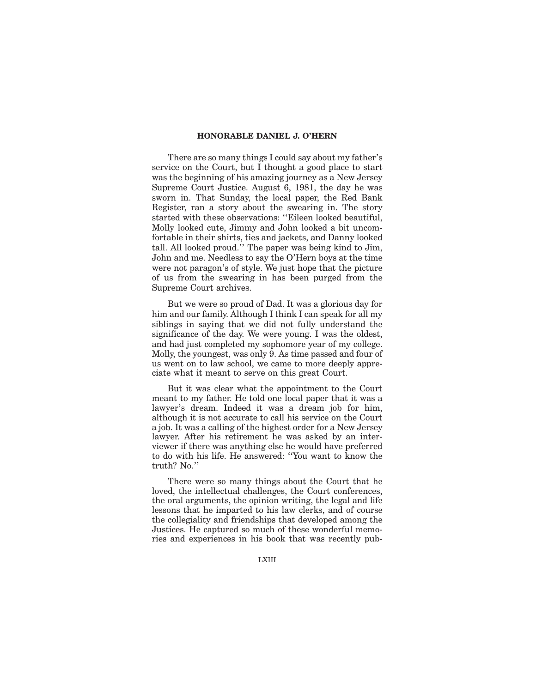There are so many things I could say about my father's service on the Court, but I thought a good place to start was the beginning of his amazing journey as a New Jersey Supreme Court Justice. August 6, 1981, the day he was sworn in. That Sunday, the local paper, the Red Bank Register, ran a story about the swearing in. The story started with these observations: ''Eileen looked beautiful, Molly looked cute, Jimmy and John looked a bit uncomfortable in their shirts, ties and jackets, and Danny looked tall. All looked proud.'' The paper was being kind to Jim, John and me. Needless to say the O'Hern boys at the time were not paragon's of style. We just hope that the picture of us from the swearing in has been purged from the Supreme Court archives.

But we were so proud of Dad. It was a glorious day for him and our family. Although I think I can speak for all my siblings in saying that we did not fully understand the significance of the day. We were young. I was the oldest, and had just completed my sophomore year of my college. Molly, the youngest, was only 9. As time passed and four of us went on to law school, we came to more deeply appreciate what it meant to serve on this great Court.

But it was clear what the appointment to the Court meant to my father. He told one local paper that it was a lawyer's dream. Indeed it was a dream job for him, although it is not accurate to call his service on the Court a job. It was a calling of the highest order for a New Jersey lawyer. After his retirement he was asked by an interviewer if there was anything else he would have preferred to do with his life. He answered: ''You want to know the truth? No.''

There were so many things about the Court that he loved, the intellectual challenges, the Court conferences, the oral arguments, the opinion writing, the legal and life lessons that he imparted to his law clerks, and of course the collegiality and friendships that developed among the Justices. He captured so much of these wonderful memories and experiences in his book that was recently pub-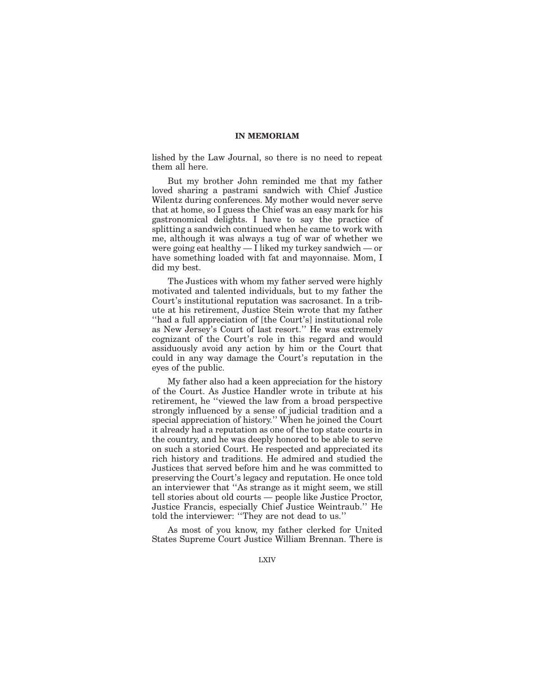lished by the Law Journal, so there is no need to repeat them all here.

But my brother John reminded me that my father loved sharing a pastrami sandwich with Chief Justice Wilentz during conferences. My mother would never serve that at home, so I guess the Chief was an easy mark for his gastronomical delights. I have to say the practice of splitting a sandwich continued when he came to work with me, although it was always a tug of war of whether we were going eat healthy — I liked my turkey sandwich — or have something loaded with fat and mayonnaise. Mom, I did my best.

The Justices with whom my father served were highly motivated and talented individuals, but to my father the Court's institutional reputation was sacrosanct. In a tribute at his retirement, Justice Stein wrote that my father ''had a full appreciation of [the Court's] institutional role as New Jersey's Court of last resort.'' He was extremely cognizant of the Court's role in this regard and would assiduously avoid any action by him or the Court that could in any way damage the Court's reputation in the eyes of the public.

My father also had a keen appreciation for the history of the Court. As Justice Handler wrote in tribute at his retirement, he ''viewed the law from a broad perspective strongly influenced by a sense of judicial tradition and a special appreciation of history.'' When he joined the Court it already had a reputation as one of the top state courts in the country, and he was deeply honored to be able to serve on such a storied Court. He respected and appreciated its rich history and traditions. He admired and studied the Justices that served before him and he was committed to preserving the Court's legacy and reputation. He once told an interviewer that ''As strange as it might seem, we still tell stories about old courts — people like Justice Proctor, Justice Francis, especially Chief Justice Weintraub.'' He told the interviewer: ''They are not dead to us.''

As most of you know, my father clerked for United States Supreme Court Justice William Brennan. There is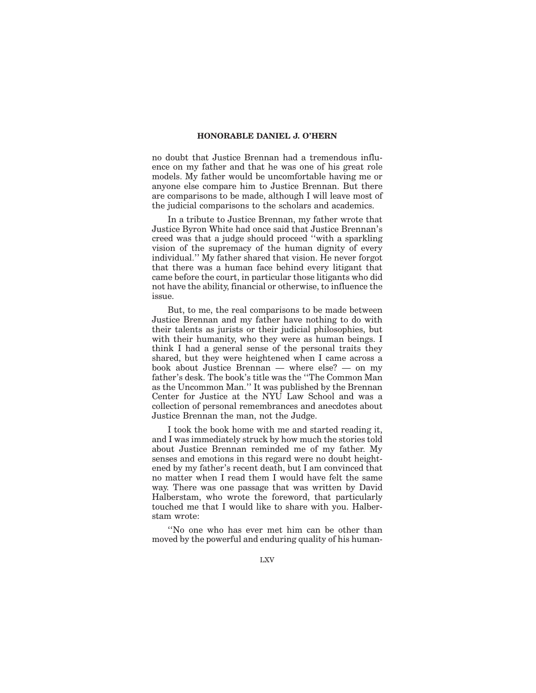no doubt that Justice Brennan had a tremendous influence on my father and that he was one of his great role models. My father would be uncomfortable having me or anyone else compare him to Justice Brennan. But there are comparisons to be made, although I will leave most of the judicial comparisons to the scholars and academics.

In a tribute to Justice Brennan, my father wrote that Justice Byron White had once said that Justice Brennan's creed was that a judge should proceed ''with a sparkling vision of the supremacy of the human dignity of every individual.'' My father shared that vision. He never forgot that there was a human face behind every litigant that came before the court, in particular those litigants who did not have the ability, financial or otherwise, to influence the issue.

But, to me, the real comparisons to be made between Justice Brennan and my father have nothing to do with their talents as jurists or their judicial philosophies, but with their humanity, who they were as human beings. I think I had a general sense of the personal traits they shared, but they were heightened when I came across a book about Justice Brennan — where else? — on my father's desk. The book's title was the ''The Common Man as the Uncommon Man.'' It was published by the Brennan Center for Justice at the NYU Law School and was a collection of personal remembrances and anecdotes about Justice Brennan the man, not the Judge.

I took the book home with me and started reading it, and I was immediately struck by how much the stories told about Justice Brennan reminded me of my father. My senses and emotions in this regard were no doubt heightened by my father's recent death, but I am convinced that no matter when I read them I would have felt the same way. There was one passage that was written by David Halberstam, who wrote the foreword, that particularly touched me that I would like to share with you. Halberstam wrote:

''No one who has ever met him can be other than moved by the powerful and enduring quality of his human-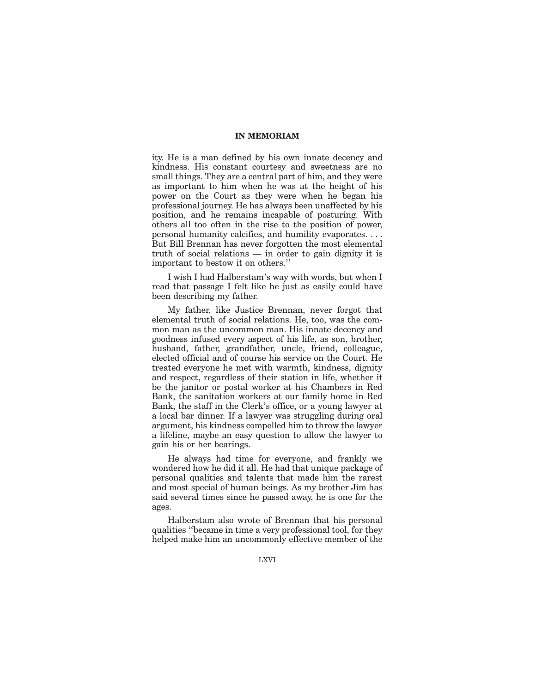ity. He is a man defined by his own innate decency and kindness. His constant courtesy and sweetness are no small things. They are a central part of him, and they were as important to him when he was at the height of his power on the Court as they were when he began his professional journey. He has always been unaffected by his position, and he remains incapable of posturing. With others all too often in the rise to the position of power, personal humanity calcifies, and humility evaporates. . . . But Bill Brennan has never forgotten the most elemental truth of social relations — in order to gain dignity it is important to bestow it on others.''

I wish I had Halberstam's way with words, but when I read that passage I felt like he just as easily could have been describing my father.

My father, like Justice Brennan, never forgot that elemental truth of social relations. He, too, was the common man as the uncommon man. His innate decency and goodness infused every aspect of his life, as son, brother, husband, father, grandfather, uncle, friend, colleague, elected official and of course his service on the Court. He treated everyone he met with warmth, kindness, dignity and respect, regardless of their station in life, whether it be the janitor or postal worker at his Chambers in Red Bank, the sanitation workers at our family home in Red Bank, the staff in the Clerk's office, or a young lawyer at a local bar dinner. If a lawyer was struggling during oral argument, his kindness compelled him to throw the lawyer a lifeline, maybe an easy question to allow the lawyer to gain his or her bearings.

He always had time for everyone, and frankly we wondered how he did it all. He had that unique package of personal qualities and talents that made him the rarest and most special of human beings. As my brother Jim has said several times since he passed away, he is one for the ages.

Halberstam also wrote of Brennan that his personal qualities ''became in time a very professional tool, for they helped make him an uncommonly effective member of the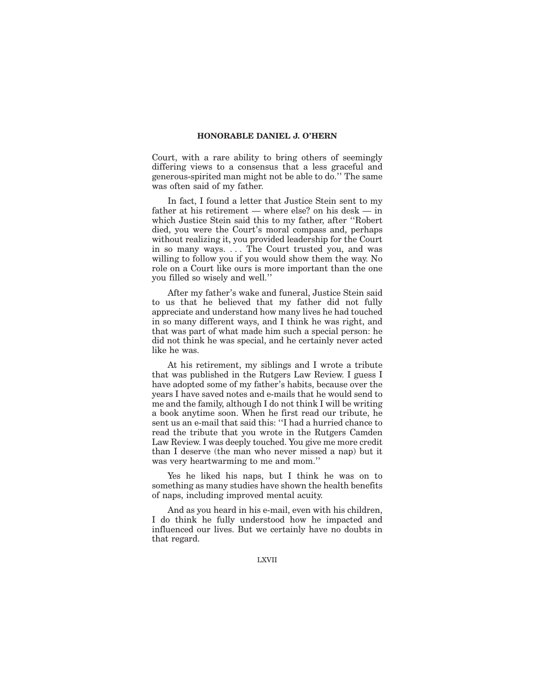Court, with a rare ability to bring others of seemingly differing views to a consensus that a less graceful and generous-spirited man might not be able to do.'' The same was often said of my father.

In fact, I found a letter that Justice Stein sent to my father at his retirement — where else? on his desk — in which Justice Stein said this to my father, after ''Robert died, you were the Court's moral compass and, perhaps without realizing it, you provided leadership for the Court in so many ways. . . . The Court trusted you, and was willing to follow you if you would show them the way. No role on a Court like ours is more important than the one you filled so wisely and well.''

After my father's wake and funeral, Justice Stein said to us that he believed that my father did not fully appreciate and understand how many lives he had touched in so many different ways, and I think he was right, and that was part of what made him such a special person: he did not think he was special, and he certainly never acted like he was.

At his retirement, my siblings and I wrote a tribute that was published in the Rutgers Law Review. I guess I have adopted some of my father's habits, because over the years I have saved notes and e-mails that he would send to me and the family, although I do not think I will be writing a book anytime soon. When he first read our tribute, he sent us an e-mail that said this: ''I had a hurried chance to read the tribute that you wrote in the Rutgers Camden Law Review. I was deeply touched. You give me more credit than I deserve (the man who never missed a nap) but it was very heartwarming to me and mom.''

Yes he liked his naps, but I think he was on to something as many studies have shown the health benefits of naps, including improved mental acuity.

And as you heard in his e-mail, even with his children, I do think he fully understood how he impacted and influenced our lives. But we certainly have no doubts in that regard.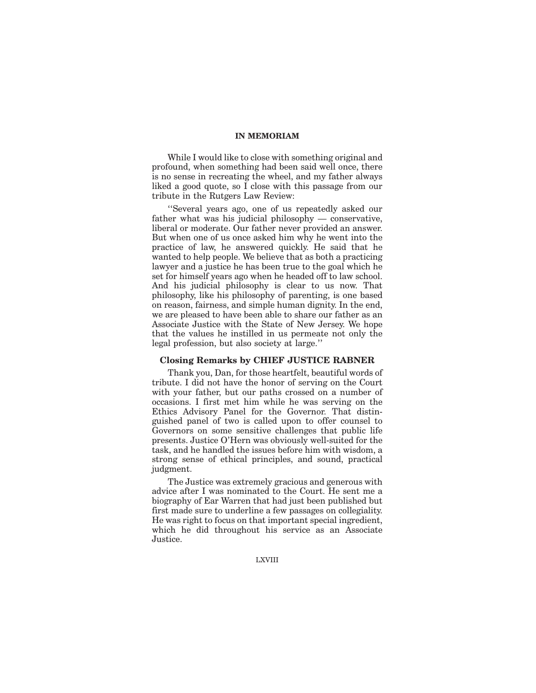While I would like to close with something original and profound, when something had been said well once, there is no sense in recreating the wheel, and my father always liked a good quote, so I close with this passage from our tribute in the Rutgers Law Review:

''Several years ago, one of us repeatedly asked our father what was his judicial philosophy — conservative, liberal or moderate. Our father never provided an answer. But when one of us once asked him why he went into the practice of law, he answered quickly. He said that he wanted to help people. We believe that as both a practicing lawyer and a justice he has been true to the goal which he set for himself years ago when he headed off to law school. And his judicial philosophy is clear to us now. That philosophy, like his philosophy of parenting, is one based on reason, fairness, and simple human dignity. In the end, we are pleased to have been able to share our father as an Associate Justice with the State of New Jersey. We hope that the values he instilled in us permeate not only the legal profession, but also society at large.''

# **Closing Remarks by CHIEF JUSTICE RABNER**

Thank you, Dan, for those heartfelt, beautiful words of tribute. I did not have the honor of serving on the Court with your father, but our paths crossed on a number of occasions. I first met him while he was serving on the Ethics Advisory Panel for the Governor. That distinguished panel of two is called upon to offer counsel to Governors on some sensitive challenges that public life presents. Justice O'Hern was obviously well-suited for the task, and he handled the issues before him with wisdom, a strong sense of ethical principles, and sound, practical judgment.

The Justice was extremely gracious and generous with advice after I was nominated to the Court. He sent me a biography of Ear Warren that had just been published but first made sure to underline a few passages on collegiality. He was right to focus on that important special ingredient, which he did throughout his service as an Associate Justice.